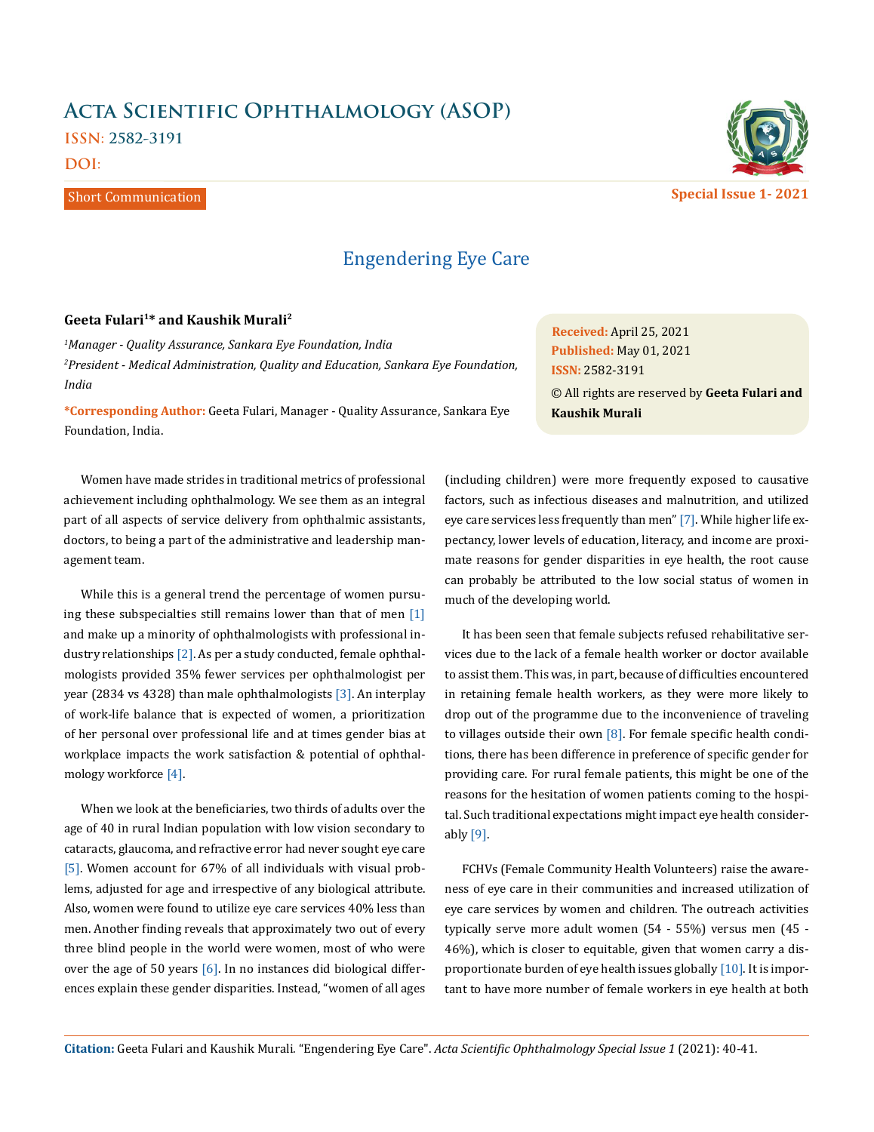# **Acta Scientific Ophthalmology (ASOP)**

**ISSN: 2582-3191**

**DOI:** 

Short Communication

## Engendering Eye Care

### **Geeta Fulari1\* and Kaushik Murali2**

*1 Manager - Quality Assurance, Sankara Eye Foundation, India 2 President - Medical Administration, Quality and Education, Sankara Eye Foundation, India*

**\*Corresponding Author:** Geeta Fulari, Manager - Quality Assurance, Sankara Eye Foundation, India.

Women have made strides in traditional metrics of professional achievement including ophthalmology. We see them as an integral part of all aspects of service delivery from ophthalmic assistants, doctors, to being a part of the administrative and leadership management team.

While this is a general trend the percentage of women pursuing these subspecialties still remains lower than that of men [1] and make up a minority of ophthalmologists with professional industry relationships [2]. As per a study conducted, female ophthalmologists provided 35% fewer services per ophthalmologist per year (2834 vs 4328) than male ophthalmologists [3]. An interplay of work-life balance that is expected of women, a prioritization of her personal over professional life and at times gender bias at workplace impacts the work satisfaction & potential of ophthalmology workforce [4].

When we look at the beneficiaries, two thirds of adults over the age of 40 in rural Indian population with low vision secondary to cataracts, glaucoma, and refractive error had never sought eye care [5]. Women account for 67% of all individuals with visual problems, adjusted for age and irrespective of any biological attribute. Also, women were found to utilize eye care services 40% less than men. Another finding reveals that approximately two out of every three blind people in the world were women, most of who were over the age of 50 years  $[6]$ . In no instances did biological differences explain these gender disparities. Instead, "women of all ages

(including children) were more frequently exposed to causative factors, such as infectious diseases and malnutrition, and utilized eye care services less frequently than men" [7]. While higher life expectancy, lower levels of education, literacy, and income are proximate reasons for gender disparities in eye health, the root cause can probably be attributed to the low social status of women in much of the developing world.

**Kaushik Murali**

It has been seen that female subjects refused rehabilitative services due to the lack of a female health worker or doctor available to assist them. This was, in part, because of difficulties encountered in retaining female health workers, as they were more likely to drop out of the programme due to the inconvenience of traveling to villages outside their own  $[8]$ . For female specific health conditions, there has been difference in preference of specific gender for providing care. For rural female patients, this might be one of the reasons for the hesitation of women patients coming to the hospital. Such traditional expectations might impact eye health considerably  $[9]$ .

FCHVs (Female Community Health Volunteers) raise the awareness of eye care in their communities and increased utilization of eye care services by women and children. The outreach activities typically serve more adult women (54 - 55%) versus men (45 - 46%), which is closer to equitable, given that women carry a disproportionate burden of eye health issues globally [10]. It is important to have more number of female workers in eye health at both

**Citation:** Geeta Fulari and Kaushik Murali*.* "Engendering Eye Care". *Acta Scientific Ophthalmology Special Issue 1* (2021): 40-41.